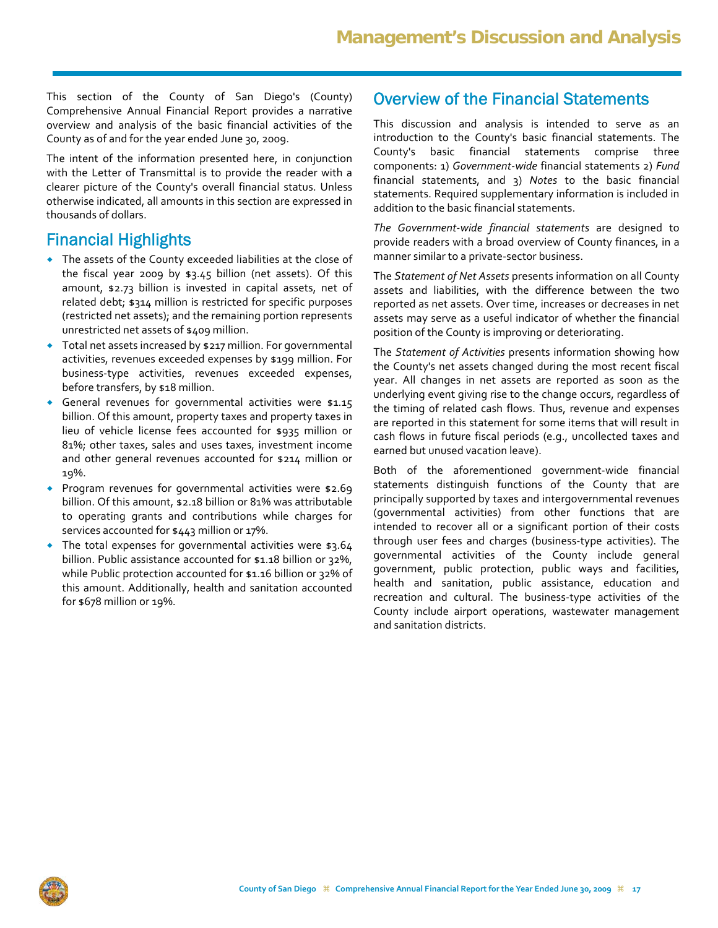This section of the County of San Diego's (County) Comprehensive Annual Financial Report provides a narrative overview and analysis of the basic financial activities of the County as of and for the year ended June 30, 2009.

The intent of the information presented here, in conjunction with the Letter of Transmittal is to provide the reader with a clearer picture of the County's overall financial status. Unless otherwise indicated, all amounts in this section are expressed in thousands of dollars.

### Financial Highlights

- The assets of the County exceeded liabilities at the close of the fiscal year 2009 by \$3.45 billion (net assets). Of this amount, \$2.73 billion is invested in capital assets, net of related debt; \$314 million is restricted for specific purposes (restricted net assets); and the remaining portion represents unrestricted net assets of \$409 million.
- Total net assets increased by \$217 million. For governmental activities, revenues exceeded expenses by \$199 million. For business‐type activities, revenues exceeded expenses, before transfers, by \$18 million.
- General revenues for governmental activities were \$1.15 billion. Of this amount, property taxes and property taxes in lieu of vehicle license fees accounted for \$935 million or 81%; other taxes, sales and uses taxes, investment income and other general revenues accounted for \$214 million or 19%.
- **•** Program revenues for governmental activities were \$2.69 billion. Of this amount, \$2.18 billion or 81% was attributable to operating grants and contributions while charges for services accounted for \$443 million or 17%.
- The total expenses for governmental activities were \$3.64 billion. Public assistance accounted for \$1.18 billion or 32%, while Public protection accounted for \$1.16 billion or 32% of this amount. Additionally, health and sanitation accounted for \$678 million or 19%.

### Overview of the Financial Statements

This discussion and analysis is intended to serve as an introduction to the County's basic financial statements. The County's basic financial statements comprise three components: 1) *Government‐wide* financial statements 2) *Fund* financial statements, and 3) *Notes* to the basic financial statements. Required supplementary information is included in addition to the basic financial statements.

*The Government‐wide financial statements* are designed to provide readers with a broad overview of County finances, in a manner similar to a private‐sector business.

The *Statement of Net Assets* presents information on all County assets and liabilities, with the difference between the two reported as net assets. Over time, increases or decreases in net assets may serve as a useful indicator of whether the financial position of the County is improving or deteriorating.

The *Statement of Activities* presents information showing how the County's net assets changed during the most recent fiscal year. All changes in net assets are reported as soon as the underlying event giving rise to the change occurs, regardless of the timing of related cash flows. Thus, revenue and expenses are reported in this statement for some items that will result in cash flows in future fiscal periods (e.g., uncollected taxes and earned but unused vacation leave).

Both of the aforementioned government‐wide financial statements distinguish functions of the County that are principally supported by taxes and intergovernmental revenues (governmental activities) from other functions that are intended to recover all or a significant portion of their costs through user fees and charges (business‐type activities). The governmental activities of the County include general government, public protection, public ways and facilities, health and sanitation, public assistance, education and recreation and cultural. The business‐type activities of the County include airport operations, wastewater management and sanitation districts.

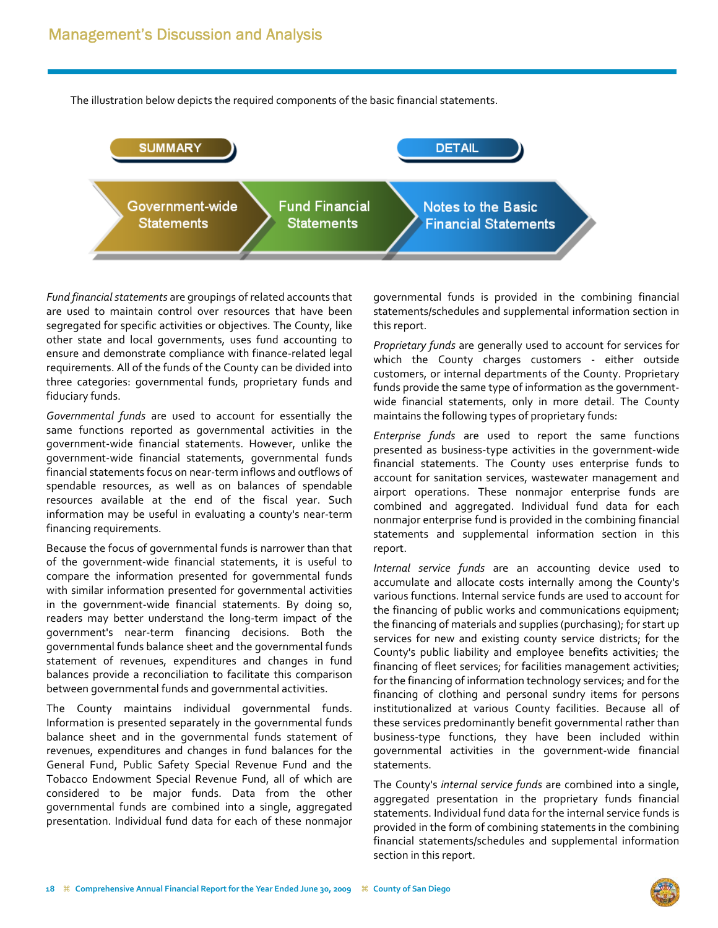The illustration below depicts the required components of the basic financial statements.



Fund financial statements are groupings of related accounts that are used to maintain control over resources that have been segregated for specific activities or objectives. The County, like other state and local governments, uses fund accounting to ensure and demonstrate compliance with finance‐related legal requirements. All of the funds of the County can be divided into three categories: governmental funds, proprietary funds and fiduciary funds.

*Governmental funds* are used to account for essentially the same functions reported as governmental activities in the government‐wide financial statements. However, unlike the government‐wide financial statements, governmental funds financial statements focus on near‐term inflows and outflows of spendable resources, as well as on balances of spendable resources available at the end of the fiscal year. Such information may be useful in evaluating a county's near‐term financing requirements.

Because the focus of governmental funds is narrower than that of the government‐wide financial statements, it is useful to compare the information presented for governmental funds with similar information presented for governmental activities in the government-wide financial statements. By doing so, readers may better understand the long‐term impact of the government's near‐term financing decisions. Both the governmental funds balance sheet and the governmental funds statement of revenues, expenditures and changes in fund balances provide a reconciliation to facilitate this comparison between governmental funds and governmental activities.

The County maintains individual governmental funds. Information is presented separately in the governmental funds balance sheet and in the governmental funds statement of revenues, expenditures and changes in fund balances for the General Fund, Public Safety Special Revenue Fund and the Tobacco Endowment Special Revenue Fund, all of which are considered to be major funds. Data from the other governmental funds are combined into a single, aggregated presentation. Individual fund data for each of these nonmajor governmental funds is provided in the combining financial statements/schedules and supplemental information section in this report.

*Proprietary funds* are generally used to account for services for which the County charges customers - either outside customers, or internal departments of the County. Proprietary funds provide the same type of information as the government‐ wide financial statements, only in more detail. The County maintains the following types of proprietary funds:

*Enterprise funds* are used to report the same functions presented as business‐type activities in the government‐wide financial statements. The County uses enterprise funds to account for sanitation services, wastewater management and airport operations. These nonmajor enterprise funds are combined and aggregated. Individual fund data for each nonmajor enterprise fund is provided in the combining financial statements and supplemental information section in this report.

*Internal service funds* are an accounting device used to accumulate and allocate costs internally among the County's various functions. Internal service funds are used to account for the financing of public works and communications equipment; the financing of materials and supplies (purchasing); for start up services for new and existing county service districts; for the County's public liability and employee benefits activities; the financing of fleet services; for facilities management activities; for the financing of information technology services; and for the financing of clothing and personal sundry items for persons institutionalized at various County facilities. Because all of these services predominantly benefit governmental rather than business‐type functions, they have been included within governmental activities in the government‐wide financial statements.

The County's *internal service funds* are combined into a single, aggregated presentation in the proprietary funds financial statements. Individual fund data for the internal service funds is provided in the form of combining statements in the combining financial statements/schedules and supplemental information section in this report.

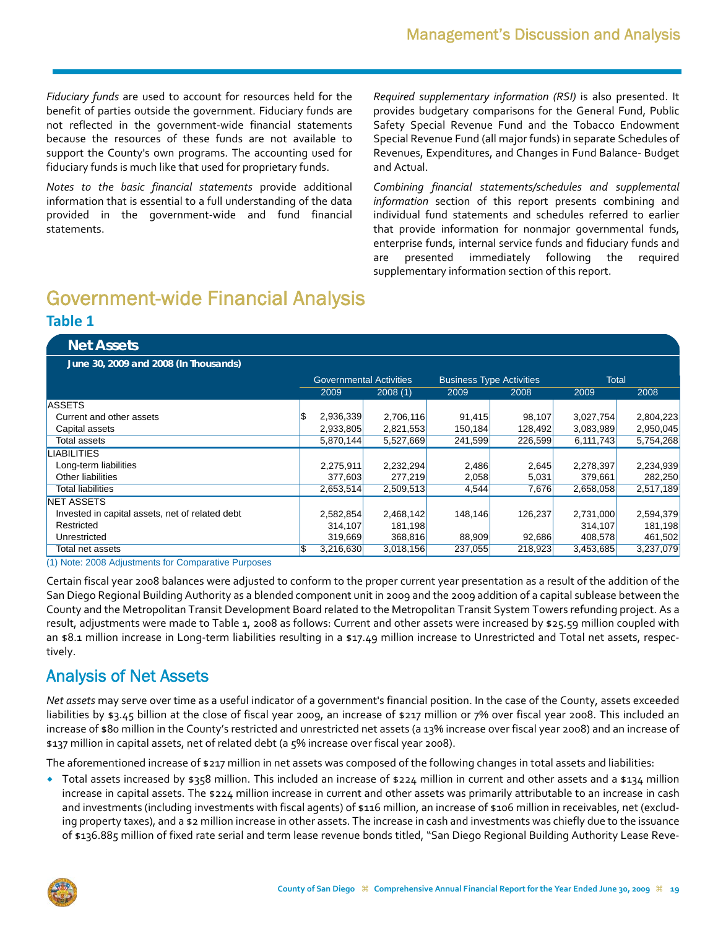*Fiduciary funds* are used to account for resources held for the benefit of parties outside the government. Fiduciary funds are not reflected in the government‐wide financial statements because the resources of these funds are not available to support the County's own programs. The accounting used for fiduciary funds is much like that used for proprietary funds.

*Notes to the basic financial statements* provide additional information that is essential to a full understanding of the data provided in the government‐wide and fund financial statements.

*Required supplementary information (RSI)* is also presented. It provides budgetary comparisons for the General Fund, Public Safety Special Revenue Fund and the Tobacco Endowment Special Revenue Fund (all major funds) in separate Schedules of Revenues, Expenditures, and Changes in Fund Balance‐ Budget and Actual.

*Combining financial statements/schedules and supplemental information* section of this report presents combining and individual fund statements and schedules referred to earlier that provide information for nonmajor governmental funds, enterprise funds, internal service funds and fiduciary funds and are presented immediately following the required supplementary information section of this report.

# Government-wide Financial Analysis

### **Table 1**

| <b>Net Assets</b>                               |     |                                |           |                                 |         |              |           |
|-------------------------------------------------|-----|--------------------------------|-----------|---------------------------------|---------|--------------|-----------|
| June 30, 2009 and 2008 (In Thousands)           |     |                                |           |                                 |         |              |           |
|                                                 |     | <b>Governmental Activities</b> |           | <b>Business Type Activities</b> |         | <b>Total</b> |           |
|                                                 |     | 2009                           | 2008(1)   | 2009                            | 2008    | 2009         | 2008      |
| <b>ASSETS</b>                                   |     |                                |           |                                 |         |              |           |
| Current and other assets                        | l\$ | 2,936,339                      | 2,706,116 | 91.415                          | 98,107  | 3,027,754    | 2,804,223 |
| Capital assets                                  |     | 2,933,805                      | 2,821,553 | 150,184                         | 128,492 | 3,083,989    | 2,950,045 |
| Total assets                                    |     | 5,870,144                      | 5,527,669 | 241,599                         | 226,599 | 6,111,743    | 5,754,268 |
| <b>LIABILITIES</b>                              |     |                                |           |                                 |         |              |           |
| Long-term liabilities                           |     | 2,275,911                      | 2,232,294 | 2,486                           | 2,645   | 2,278,397    | 2,234,939 |
| Other liabilities                               |     | 377,603                        | 277,219   | 2,058                           | 5,031   | 379,661      | 282,250   |
| Total liabilities                               |     | 2,653,514                      | 2,509,513 | 4,544                           | 7,676   | 2,658,058    | 2,517,189 |
| <b>NET ASSETS</b>                               |     |                                |           |                                 |         |              |           |
| Invested in capital assets, net of related debt |     | 2,582,854                      | 2,468,142 | 148,146                         | 126,237 | 2,731,000    | 2,594,379 |
| Restricted                                      |     | 314,107                        | 181,198   |                                 |         | 314,107      | 181,198   |
| Unrestricted                                    |     | 319,669                        | 368,816   | 88,909                          | 92,686  | 408,578      | 461,502   |
| Total net assets                                | l\$ | 3,216,630                      | 3,018,156 | 237,055                         | 218,923 | 3,453,685    | 3,237,079 |

(1) Note: 2008 Adjustments for Comparative Purposes

Certain fiscal year 2008 balances were adjusted to conform to the proper current year presentation as a result of the addition of the San Diego Regional Building Authority as a blended component unit in 2009 and the 2009 addition of a capital sublease between the County and the Metropolitan Transit Development Board related to the Metropolitan Transit System Towers refunding project. As a result, adjustments were made to Table 1, 2008 as follows: Current and other assets were increased by \$25.59 million coupled with an \$8.1 million increase in Long-term liabilities resulting in a \$17.49 million increase to Unrestricted and Total net assets, respectively.

# Analysis of Net Assets

*Net assets* may serve over time as a useful indicator of a government's financial position. In the case of the County, assets exceeded liabilities by \$3.45 billion at the close of fiscal year 2009, an increase of \$217 million or 7% over fiscal year 2008. This included an increase of \$80 million in the County's restricted and unrestricted net assets (a 13% increase over fiscal year 2008) and an increase of \$137 million in capital assets, net of related debt (a 5% increase over fiscal year 2008).

The aforementioned increase of \$217 million in net assets was composed of the following changes in total assets and liabilities:

• Total assets increased by \$358 million. This included an increase of \$224 million in current and other assets and a \$134 million increase in capital assets. The \$224 million increase in current and other assets was primarily attributable to an increase in cash and investments (including investments with fiscal agents) of \$116 million, an increase of \$106 million in receivables, net (excluding property taxes), and a \$2 million increase in other assets. The increase in cash and investments was chiefly due to the issuance of \$136.885 million of fixed rate serial and term lease revenue bonds titled, "San Diego Regional Building Authority Lease Reve‐

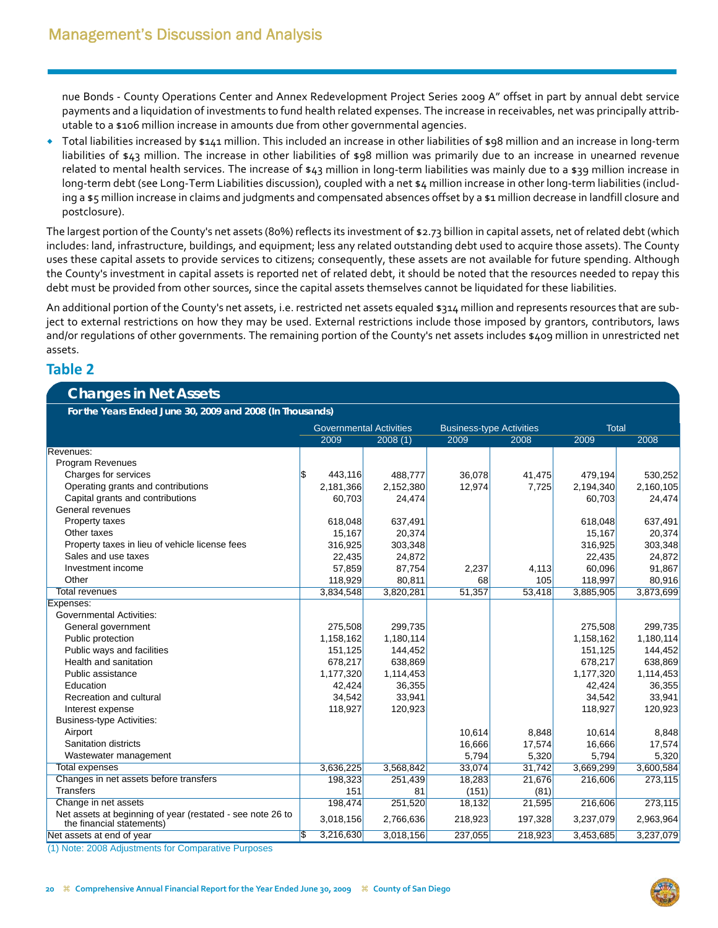nue Bonds ‐ County Operations Center and Annex Redevelopment Project Series 2009 A" offset in part by annual debt service payments and a liquidation of investments to fund health related expenses. The increase in receivables, net was principally attrib‐ utable to a \$106 million increase in amounts due from other governmental agencies.

 Total liabilities increased by \$141 million. This included an increase in other liabilities of \$98 million and an increase in long‐term liabilities of \$43 million. The increase in other liabilities of \$98 million was primarily due to an increase in unearned revenue related to mental health services. The increase of \$43 million in long‐term liabilities was mainly due to a \$39 million increase in long‐term debt (see Long‐Term Liabilities discussion), coupled with a net \$4 million increase in other long‐term liabilities (includ‐ ing a \$5 million increase in claims and judgments and compensated absences offset by a \$1 million decrease in landfill closure and postclosure).

The largest portion of the County's net assets (80%) reflects its investment of \$2.73 billion in capital assets, net of related debt (which includes: land, infrastructure, buildings, and equipment; less any related outstanding debt used to acquire those assets). The County uses these capital assets to provide services to citizens; consequently, these assets are not available for future spending. Although the County's investment in capital assets is reported net of related debt, it should be noted that the resources needed to repay this debt must be provided from other sources, since the capital assets themselves cannot be liquidated for these liabilities.

An additional portion of the County's net assets, i.e. restricted net assets equaled \$314 million and represents resources that are subject to external restrictions on how they may be used. External restrictions include those imposed by grantors, contributors, laws and/or regulations of other governments. The remaining portion of the County's net assets includes \$409 million in unrestricted net assets.

### **Table 2**

### **Changes in Net Assets**

**For the Years Ended June 30, 2009 and 2008 (In Thousands)**

|                                                                                         |     | <b>Governmental Activities</b> |           | <b>Business-type Activities</b> |         | <b>Total</b> |           |
|-----------------------------------------------------------------------------------------|-----|--------------------------------|-----------|---------------------------------|---------|--------------|-----------|
|                                                                                         |     | 2009                           | 2008(1)   | 2009                            | 2008    | 2009         | 2008      |
| Revenues:                                                                               |     |                                |           |                                 |         |              |           |
| <b>Program Revenues</b>                                                                 |     |                                |           |                                 |         |              |           |
| Charges for services                                                                    | S.  | 443,116                        | 488,777   | 36,078                          | 41,475  | 479,194      | 530,252   |
| Operating grants and contributions                                                      |     | 2,181,366                      | 2,152,380 | 12,974                          | 7,725   | 2,194,340    | 2,160,105 |
| Capital grants and contributions                                                        |     | 60,703                         | 24,474    |                                 |         | 60,703       | 24,474    |
| General revenues                                                                        |     |                                |           |                                 |         |              |           |
| Property taxes                                                                          |     | 618,048                        | 637,491   |                                 |         | 618,048      | 637,491   |
| Other taxes                                                                             |     | 15,167                         | 20,374    |                                 |         | 15.167       | 20,374    |
| Property taxes in lieu of vehicle license fees                                          |     | 316,925                        | 303,348   |                                 |         | 316,925      | 303,348   |
| Sales and use taxes                                                                     |     | 22,435                         | 24,872    |                                 |         | 22,435       | 24,872    |
| Investment income                                                                       |     | 57,859                         | 87,754    | 2,237                           | 4,113   | 60,096       | 91,867    |
| Other                                                                                   |     | 118,929                        | 80,811    | 68                              | 105     | 118,997      | 80,916    |
| <b>Total revenues</b>                                                                   |     | 3,834,548                      | 3,820,281 | 51,357                          | 53,418  | 3,885,905    | 3,873,699 |
| Expenses:                                                                               |     |                                |           |                                 |         |              |           |
| <b>Governmental Activities:</b>                                                         |     |                                |           |                                 |         |              |           |
| General government                                                                      |     | 275,508                        | 299,735   |                                 |         | 275,508      | 299,735   |
| Public protection                                                                       |     | 1,158,162                      | 1,180,114 |                                 |         | 1,158,162    | 1,180,114 |
| Public ways and facilities                                                              |     | 151,125                        | 144,452   |                                 |         | 151,125      | 144,452   |
| Health and sanitation                                                                   |     | 678,217                        | 638,869   |                                 |         | 678,217      | 638,869   |
| Public assistance                                                                       |     | 1,177,320                      | 1,114,453 |                                 |         | 1,177,320    | 1,114,453 |
| Education                                                                               |     | 42,424                         | 36,355    |                                 |         | 42,424       | 36,355    |
| Recreation and cultural                                                                 |     | 34,542                         | 33,941    |                                 |         | 34,542       | 33,941    |
| Interest expense                                                                        |     | 118,927                        | 120,923   |                                 |         | 118,927      | 120,923   |
| <b>Business-type Activities:</b>                                                        |     |                                |           |                                 |         |              |           |
| Airport                                                                                 |     |                                |           | 10,614                          | 8,848   | 10,614       | 8,848     |
| Sanitation districts                                                                    |     |                                |           | 16,666                          | 17,574  | 16,666       | 17,574    |
| Wastewater management                                                                   |     |                                |           | 5,794                           | 5,320   | 5,794        | 5,320     |
| Total expenses                                                                          |     | 3,636,225                      | 3,568,842 | 33.074                          | 31.742  | 3,669,299    | 3,600,584 |
| Changes in net assets before transfers                                                  |     | 198,323                        | 251,439   | 18,283                          | 21,676  | 216,606      | 273,115   |
| <b>Transfers</b>                                                                        |     | 151                            | 81        | (151)                           | (81)    |              |           |
| Change in net assets                                                                    |     | 198,474                        | 251,520   | 18,132                          | 21,595  | 216,606      | 273,115   |
| Net assets at beginning of year (restated - see note 26 to<br>the financial statements) |     | 3,018,156                      | 2,766,636 | 218,923                         | 197,328 | 3,237,079    | 2,963,964 |
| Net assets at end of year                                                               | l\$ | 3,216,630                      | 3,018,156 | 237,055                         | 218,923 | 3,453,685    | 3,237,079 |
|                                                                                         |     |                                |           |                                 |         |              |           |

(1) Note: 2008 Adjustments for Comparative Purposes

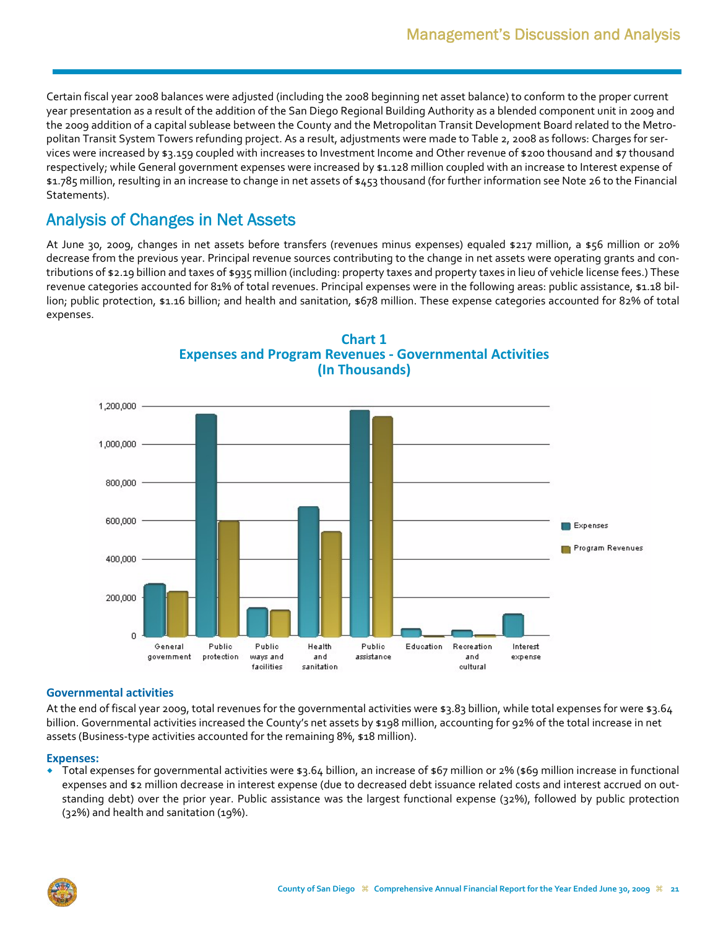Certain fiscal year 2008 balances were adjusted (including the 2008 beginning net asset balance) to conform to the proper current year presentation as a result of the addition of the San Diego Regional Building Authority as a blended component unit in 2009 and the 2009 addition of a capital sublease between the County and the Metropolitan Transit Development Board related to the Metro‐ politan Transit System Towers refunding project. As a result, adjustments were made to Table 2, 2008 as follows: Charges for ser‐ vices were increased by \$3.159 coupled with increases to Investment Income and Other revenue of \$200 thousand and \$7 thousand respectively; while General government expenses were increased by \$1.128 million coupled with an increase to Interest expense of \$1.785 million, resulting in an increase to change in net assets of \$453 thousand (for further information see Note 26 to the Financial Statements).

# Analysis of Changes in Net Assets

At June 30, 2009, changes in net assets before transfers (revenues minus expenses) equaled \$217 million, a \$56 million or 20% decrease from the previous year. Principal revenue sources contributing to the change in net assets were operating grants and contributions of \$2.19 billion and taxes of \$935 million (including: property taxes and property taxes in lieu of vehicle license fees.) These revenue categories accounted for 81% of total revenues. Principal expenses were in the following areas: public assistance, \$1.18 billion; public protection, \$1.16 billion; and health and sanitation, \$678 million. These expense categories accounted for 82% of total expenses.



### **Chart 1 Expenses and Program Revenues ‐ Governmental Activities (In Thousands)**

#### **Governmental activities**

At the end of fiscal year 2009, total revenues for the governmental activities were \$3.83 billion, while total expenses for were \$3.64 billion. Governmental activities increased the County's net assets by \$198 million, accounting for 92% of the total increase in net assets (Business‐type activities accounted for the remaining 8%, \$18 million).

#### **Expenses:**

 Total expenses for governmental activities were \$3.64 billion, an increase of \$67 million or 2% (\$69 million increase in functional expenses and \$2 million decrease in interest expense (due to decreased debt issuance related costs and interest accrued on out‐ standing debt) over the prior year. Public assistance was the largest functional expense (32%), followed by public protection (32%) and health and sanitation (19%).

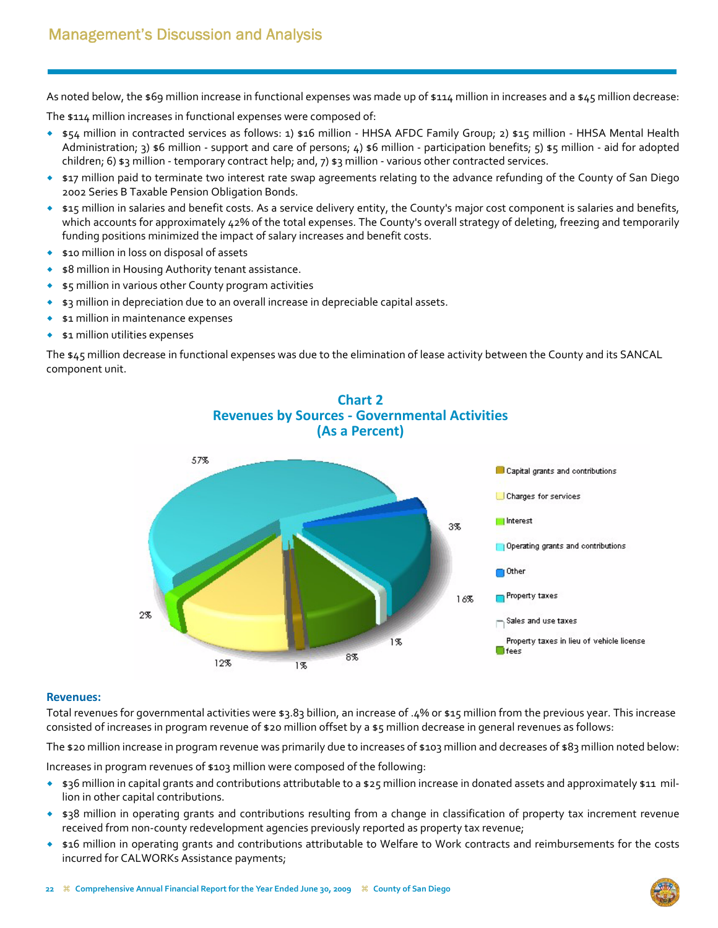As noted below, the \$69 million increase in functional expenses was made up of \$114 million in increases and a \$45 million decrease:

The \$114 million increases in functional expenses were composed of:

- \$54 million in contracted services as follows: 1) \$16 million ‐ HHSA AFDC Family Group; 2) \$15 million ‐ HHSA Mental Health Administration; 3) \$6 million - support and care of persons; 4) \$6 million - participation benefits; 5) \$5 million - aid for adopted children; 6) \$3 million - temporary contract help; and, 7) \$3 million - various other contracted services.
- \$17 million paid to terminate two interest rate swap agreements relating to the advance refunding of the County of San Diego 2002 Series B Taxable Pension Obligation Bonds.
- \$15 million in salaries and benefit costs. As a service delivery entity, the County's major cost component is salaries and benefits, which accounts for approximately 42% of the total expenses. The County's overall strategy of deleting, freezing and temporarily funding positions minimized the impact of salary increases and benefit costs.
- **\$10 million in loss on disposal of assets**
- \$8 million in Housing Authority tenant assistance.
- \$5 million in various other County program activities
- \$3 million in depreciation due to an overall increase in depreciable capital assets.
- \$1 million in maintenance expenses
- \$1 million utilities expenses

The \$45 million decrease in functional expenses was due to the elimination of lease activity between the County and its SANCAL component unit.



#### **Revenues:**

Total revenues for governmental activities were \$3.83 billion, an increase of .4% or \$15 million from the previous year. This increase consisted of increases in program revenue of \$20 million offset by a \$5 million decrease in general revenues as follows:

The \$20 million increase in program revenue was primarily due to increases of \$103 million and decreases of \$83 million noted below:

Increases in program revenues of \$103 million were composed of the following:

- \* \$36 million in capital grants and contributions attributable to a \$25 million increase in donated assets and approximately \$11 million in other capital contributions.
- \$38 million in operating grants and contributions resulting from a change in classification of property tax increment revenue received from non-county redevelopment agencies previously reported as property tax revenue;
- \* \$16 million in operating grants and contributions attributable to Welfare to Work contracts and reimbursements for the costs incurred for CALWORKs Assistance payments;

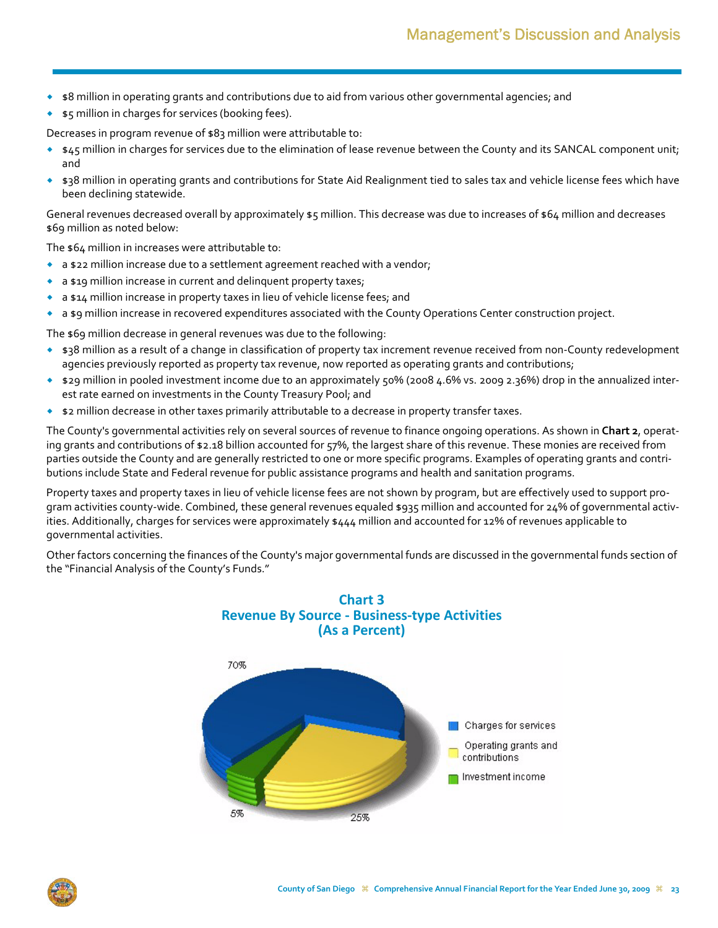- \$8 million in operating grants and contributions due to aid from various other governmental agencies; and
- \$5 million in charges for services (booking fees).

Decreases in program revenue of \$83 million were attributable to:

- $*$   $*$ 45 million in charges for services due to the elimination of lease revenue between the County and its SANCAL component unit; and
- \* \$38 million in operating grants and contributions for State Aid Realignment tied to sales tax and vehicle license fees which have been declining statewide.

General revenues decreased overall by approximately \$5 million. This decrease was due to increases of \$64 million and decreases \$69 million as noted below:

The \$64 million in increases were attributable to:

- $\bullet$  a \$22 million increase due to a settlement agreement reached with a vendor;
- a \$19 million increase in current and delinquent property taxes;
- a \$14 million increase in property taxes in lieu of vehicle license fees; and
- a \$9 million increase in recovered expenditures associated with the County Operations Center construction project.

The \$69 million decrease in general revenues was due to the following:

- ◆ \$38 million as a result of a change in classification of property tax increment revenue received from non-County redevelopment agencies previously reported as property tax revenue, now reported as operating grants and contributions;
- \$29 million in pooled investment income due to an approximately 50% (2008 4.6% vs. 2009 2.36%) drop in the annualized inter‐ est rate earned on investments in the County Treasury Pool; and
- \$2 million decrease in other taxes primarily attributable to a decrease in property transfer taxes.

The County's governmental activities rely on several sources of revenue to finance ongoing operations. As shown in **Chart 2**, operat‐ ing grants and contributions of \$2.18 billion accounted for 57%, the largest share of this revenue. These monies are received from parties outside the County and are generally restricted to one or more specific programs. Examples of operating grants and contributions include State and Federal revenue for public assistance programs and health and sanitation programs.

Property taxes and property taxes in lieu of vehicle license fees are not shown by program, but are effectively used to support pro‐ gram activities county‐wide. Combined, these general revenues equaled \$935 million and accounted for 24% of governmental activ‐ ities. Additionally, charges for services were approximately \$444 million and accounted for 12% of revenues applicable to governmental activities.

Other factors concerning the finances of the County's major governmental funds are discussed in the governmental funds section of the "Financial Analysis of the County's Funds."



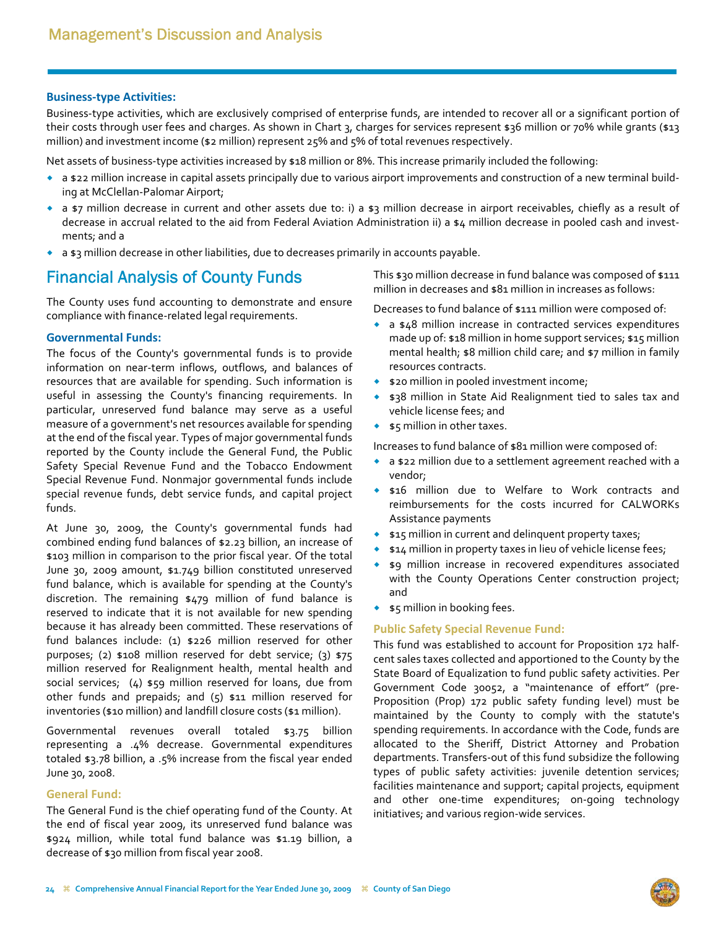#### **Business‐type Activities:**

Business‐type activities, which are exclusively comprised of enterprise funds, are intended to recover all or a significant portion of their costs through user fees and charges. As shown in Chart 3, charges for services represent \$36 million or 70% while grants (\$13 million) and investment income (\$2 million) represent 25% and 5% of total revenues respectively.

Net assets of business-type activities increased by \$18 million or 8%. This increase primarily included the following:

- ◆ a \$22 million increase in capital assets principally due to various airport improvements and construction of a new terminal building at McClellan‐Palomar Airport;
- \* a \$7 million decrease in current and other assets due to: i) a \$3 million decrease in airport receivables, chiefly as a result of decrease in accrual related to the aid from Federal Aviation Administration ii) a \$4 million decrease in pooled cash and investments; and a
- $\bullet$  a  $\ast$  a  $\ast$  million decrease in other liabilities, due to decreases primarily in accounts payable.

### Financial Analysis of County Funds

The County uses fund accounting to demonstrate and ensure compliance with finance‐related legal requirements.

#### **Governmental Funds:**

The focus of the County's governmental funds is to provide information on near-term inflows, outflows, and balances of resources that are available for spending. Such information is useful in assessing the County's financing requirements. In particular, unreserved fund balance may serve as a useful measure of a government's net resources available for spending at the end of the fiscal year. Types of major governmental funds reported by the County include the General Fund, the Public Safety Special Revenue Fund and the Tobacco Endowment Special Revenue Fund. Nonmajor governmental funds include special revenue funds, debt service funds, and capital project funds.

At June 30, 2009, the County's governmental funds had combined ending fund balances of \$2.23 billion, an increase of \$103 million in comparison to the prior fiscal year. Of the total June 30, 2009 amount, \$1.749 billion constituted unreserved fund balance, which is available for spending at the County's discretion. The remaining \$479 million of fund balance is reserved to indicate that it is not available for new spending because it has already been committed. These reservations of fund balances include: (1) \$226 million reserved for other purposes; (2) \$108 million reserved for debt service; (3) \$75 million reserved for Realignment health, mental health and social services;  $(4)$  \$59 million reserved for loans, due from other funds and prepaids; and (5) \$11 million reserved for inventories (\$10 million) and landfill closure costs (\$1 million).

Governmental revenues overall totaled \$3.75 billion representing a .4% decrease. Governmental expenditures totaled \$3.78 billion, a .5% increase from the fiscal year ended June 30, 2008.

#### **General Fund:**

The General Fund is the chief operating fund of the County. At the end of fiscal year 2009, its unreserved fund balance was \$924 million, while total fund balance was \$1.19 billion, a decrease of \$30 million from fiscal year 2008.

This \$30 million decrease in fund balance was composed of \$111 million in decreases and \$81 million in increases as follows:

Decreases to fund balance of \$111 million were composed of:

- a \$48 million increase in contracted services expenditures made up of: \$18 million in home support services; \$15 million mental health; \$8 million child care; and \$7 million in family resources contracts.
- ◆ \$20 million in pooled investment income;
- \$38 million in State Aid Realignment tied to sales tax and vehicle license fees; and
- $\bullet$   $\bullet$  5 million in other taxes.

Increases to fund balance of \$81 million were composed of:

- a \$22 million due to a settlement agreement reached with a vendor;
- **\$16** million due to Welfare to Work contracts and reimbursements for the costs incurred for CALWORKs Assistance payments
- **\*** \$15 million in current and delinquent property taxes;
- $\bullet$   $\sharp$ 14 million in property taxes in lieu of vehicle license fees;
- \$9 million increase in recovered expenditures associated with the County Operations Center construction project; and
- $\bullet$   $\bullet$  5 million in booking fees.

#### **Public Safety Special Revenue Fund:**

This fund was established to account for Proposition 172 half‐ cent sales taxes collected and apportioned to the County by the State Board of Equalization to fund public safety activities. Per Government Code 30052, a "maintenance of effort" (pre‐ Proposition (Prop) 172 public safety funding level) must be maintained by the County to comply with the statute's spending requirements. In accordance with the Code, funds are allocated to the Sheriff, District Attorney and Probation departments. Transfers‐out of this fund subsidize the following types of public safety activities: juvenile detention services; facilities maintenance and support; capital projects, equipment and other one-time expenditures; on-going technology initiatives; and various region‐wide services.

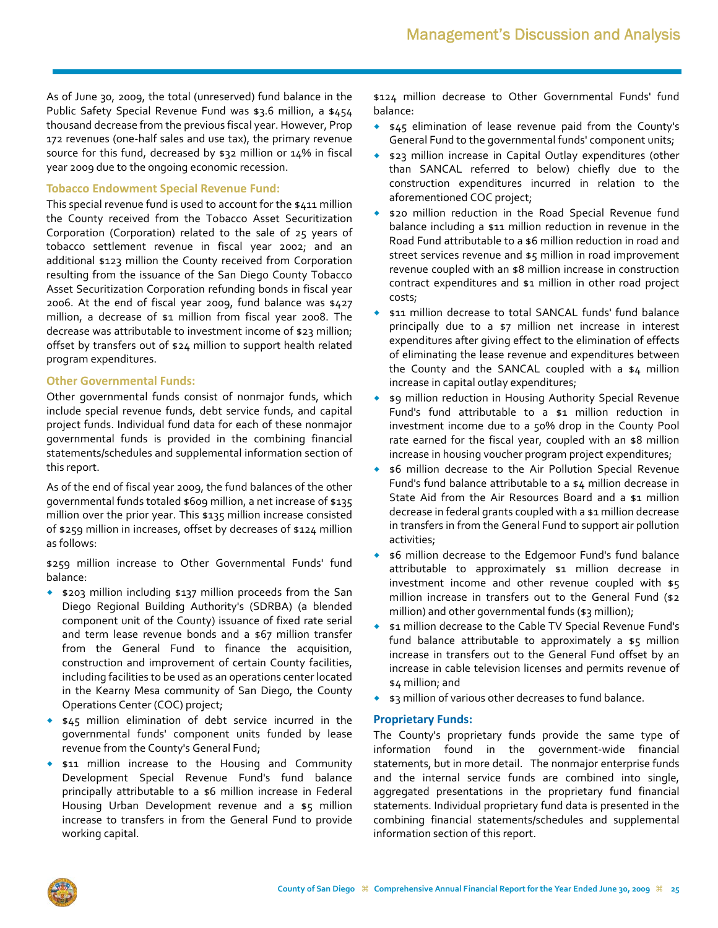As of June 30, 2009, the total (unreserved) fund balance in the Public Safety Special Revenue Fund was \$3.6 million, a \$454 thousand decrease from the previous fiscal year. However, Prop 172 revenues (one‐half sales and use tax), the primary revenue source for this fund, decreased by \$32 million or 14% in fiscal year 2009 due to the ongoing economic recession.

#### **Tobacco Endowment Special Revenue Fund:**

This special revenue fund is used to account for the \$411 million the County received from the Tobacco Asset Securitization Corporation (Corporation) related to the sale of 25 years of tobacco settlement revenue in fiscal year 2002; and an additional \$123 million the County received from Corporation resulting from the issuance of the San Diego County Tobacco Asset Securitization Corporation refunding bonds in fiscal year 2006. At the end of fiscal year 2009, fund balance was \$427 million, a decrease of \$1 million from fiscal year 2008. The decrease was attributable to investment income of \$23 million; offset by transfers out of \$24 million to support health related program expenditures.

#### **Other Governmental Funds:**

Other governmental funds consist of nonmajor funds, which include special revenue funds, debt service funds, and capital project funds. Individual fund data for each of these nonmajor governmental funds is provided in the combining financial statements/schedules and supplemental information section of this report.

As of the end of fiscal year 2009, the fund balances of the other governmental funds totaled \$609 million, a net increase of \$135 million over the prior year. This \$135 million increase consisted of \$259 million in increases, offset by decreases of \$124 million as follows:

\$259 million increase to Other Governmental Funds' fund balance:

- \$203 million including \$137 million proceeds from the San Diego Regional Building Authority's (SDRBA) (a blended component unit of the County) issuance of fixed rate serial and term lease revenue bonds and a \$67 million transfer from the General Fund to finance the acquisition, construction and improvement of certain County facilities, including facilities to be used as an operations center located in the Kearny Mesa community of San Diego, the County Operations Center (COC) project;
- $\bullet$  \$45 million elimination of debt service incurred in the governmental funds' component units funded by lease revenue from the County's General Fund;
- **\$11 million increase to the Housing and Community** Development Special Revenue Fund's fund balance principally attributable to a \$6 million increase in Federal Housing Urban Development revenue and a \$5 million increase to transfers in from the General Fund to provide working capital.

\$124 million decrease to Other Governmental Funds' fund balance:

- \$45 elimination of lease revenue paid from the County's General Fund to the governmental funds' component units;
- \$23 million increase in Capital Outlay expenditures (other than SANCAL referred to below) chiefly due to the construction expenditures incurred in relation to the aforementioned COC project;
- \$20 million reduction in the Road Special Revenue fund balance including a \$11 million reduction in revenue in the Road Fund attributable to a \$6 million reduction in road and street services revenue and \$5 million in road improvement revenue coupled with an \$8 million increase in construction contract expenditures and \$1 million in other road project costs;
- \$11 million decrease to total SANCAL funds' fund balance principally due to a \$7 million net increase in interest expenditures after giving effect to the elimination of effects of eliminating the lease revenue and expenditures between the County and the SANCAL coupled with a \$4 million increase in capital outlay expenditures;
- \$9 million reduction in Housing Authority Special Revenue Fund's fund attributable to a \$1 million reduction in investment income due to a 50% drop in the County Pool rate earned for the fiscal year, coupled with an \$8 million increase in housing voucher program project expenditures;
- \$6 million decrease to the Air Pollution Special Revenue Fund's fund balance attributable to a \$4 million decrease in State Aid from the Air Resources Board and a \$1 million decrease in federal grants coupled with a \$1 million decrease in transfers in from the General Fund to support air pollution activities;
- \$6 million decrease to the Edgemoor Fund's fund balance attributable to approximately \$1 million decrease in investment income and other revenue coupled with  $$5$ million increase in transfers out to the General Fund (\$2 million) and other governmental funds (\$3 million);
- \$1 million decrease to the Cable TV Special Revenue Fund's fund balance attributable to approximately a \$5 million increase in transfers out to the General Fund offset by an increase in cable television licenses and permits revenue of \$4 million; and
- $\bullet$  \$3 million of various other decreases to fund balance.

### **Proprietary Funds:**

The County's proprietary funds provide the same type of information found in the government‐wide financial statements, but in more detail. The nonmajor enterprise funds and the internal service funds are combined into single, aggregated presentations in the proprietary fund financial statements. Individual proprietary fund data is presented in the combining financial statements/schedules and supplemental information section of this report.

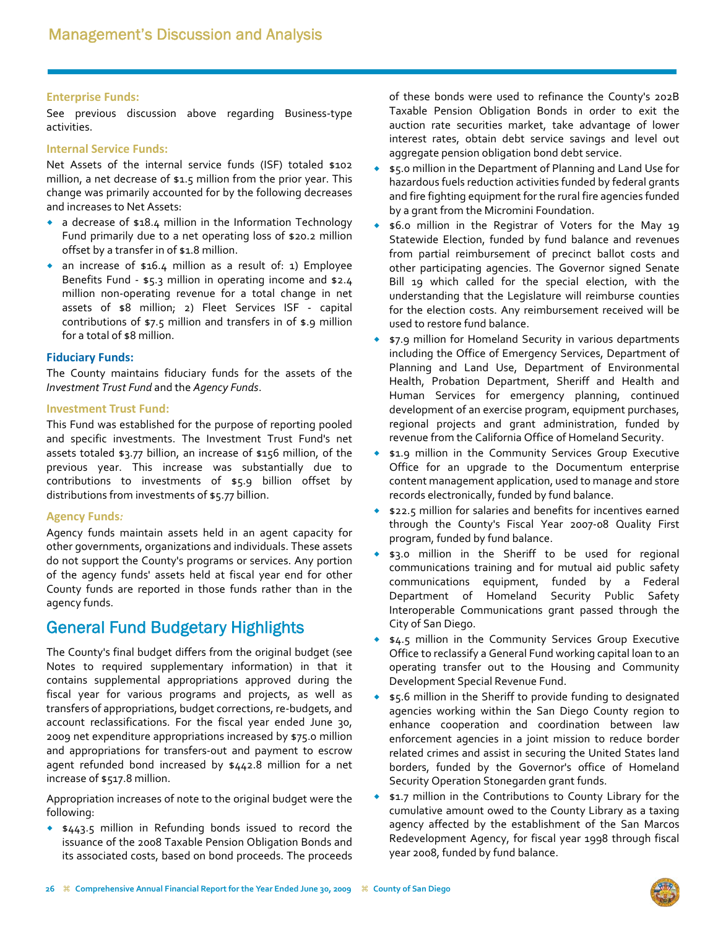#### **Enterprise Funds:**

See previous discussion above regarding Business-type activities.

#### **Internal Service Funds:**

Net Assets of the internal service funds (ISF) totaled \$102 million, a net decrease of \$1.5 million from the prior year. This change was primarily accounted for by the following decreases and increases to Net Assets:

- a decrease of \$18.4 million in the Information Technology Fund primarily due to a net operating loss of \$20.2 million offset by a transfer in of \$1.8 million.
- an increase of \$16.4 million as a result of: 1) Employee Benefits Fund - \$5.3 million in operating income and \$2.4 million non‐operating revenue for a total change in net assets of \$8 million; 2) Fleet Services ISF ‐ capital contributions of \$7.5 million and transfers in of \$.9 million for a total of \$8 million.

#### **Fiduciary Funds:**

The County maintains fiduciary funds for the assets of the *Investment Trust Fund* and the *Agency Funds*.

#### **Investment Trust Fund:**

This Fund was established for the purpose of reporting pooled and specific investments. The Investment Trust Fund's net assets totaled \$3.77 billion, an increase of \$156 million, of the previous year. This increase was substantially due to contributions to investments of \$5.9 billion offset by distributions from investments of \$5.77 billion.

#### **Agency Funds***:*

Agency funds maintain assets held in an agent capacity for other governments, organizations and individuals. These assets do not support the County's programs or services. Any portion of the agency funds' assets held at fiscal year end for other County funds are reported in those funds rather than in the agency funds.

## General Fund Budgetary Highlights

The County's final budget differs from the original budget (see Notes to required supplementary information) in that it contains supplemental appropriations approved during the fiscal year for various programs and projects, as well as transfers of appropriations, budget corrections, re‐budgets, and account reclassifications. For the fiscal year ended June 30, 2009 net expenditure appropriations increased by \$75.0 million and appropriations for transfers‐out and payment to escrow agent refunded bond increased by \$442.8 million for a net increase of \$517.8 million.

Appropriation increases of note to the original budget were the following:

 \$443.5 million in Refunding bonds issued to record the issuance of the 2008 Taxable Pension Obligation Bonds and its associated costs, based on bond proceeds. The proceeds of these bonds were used to refinance the County's 202B Taxable Pension Obligation Bonds in order to exit the auction rate securities market, take advantage of lower interest rates, obtain debt service savings and level out aggregate pension obligation bond debt service.

- \$5.0 million in the Department of Planning and Land Use for hazardous fuels reduction activities funded by federal grants and fire fighting equipment for the rural fire agencies funded by a grant from the Micromini Foundation.
- \$6.0 million in the Registrar of Voters for the May 19 Statewide Election, funded by fund balance and revenues from partial reimbursement of precinct ballot costs and other participating agencies. The Governor signed Senate Bill 19 which called for the special election, with the understanding that the Legislature will reimburse counties for the election costs. Any reimbursement received will be used to restore fund balance.
- \$7.9 million for Homeland Security in various departments including the Office of Emergency Services, Department of Planning and Land Use, Department of Environmental Health, Probation Department, Sheriff and Health and Human Services for emergency planning, continued development of an exercise program, equipment purchases, regional projects and grant administration, funded by revenue from the California Office of Homeland Security.
- \$1.9 million in the Community Services Group Executive Office for an upgrade to the Documentum enterprise content management application, used to manage and store records electronically, funded by fund balance.
- \$22.5 million for salaries and benefits for incentives earned through the County's Fiscal Year 2007‐08 Quality First program, funded by fund balance.
- \$3.0 million in the Sheriff to be used for regional communications training and for mutual aid public safety communications equipment, funded by a Federal Department of Homeland Security Public Safety Interoperable Communications grant passed through the City of San Diego.
- \$4.5 million in the Community Services Group Executive Office to reclassify a General Fund working capital loan to an operating transfer out to the Housing and Community Development Special Revenue Fund.
- \$5.6 million in the Sheriff to provide funding to designated agencies working within the San Diego County region to enhance cooperation and coordination between law enforcement agencies in a joint mission to reduce border related crimes and assist in securing the United States land borders, funded by the Governor's office of Homeland Security Operation Stonegarden grant funds.
- \$1.7 million in the Contributions to County Library for the cumulative amount owed to the County Library as a taxing agency affected by the establishment of the San Marcos Redevelopment Agency, for fiscal year 1998 through fiscal year 2008, funded by fund balance.

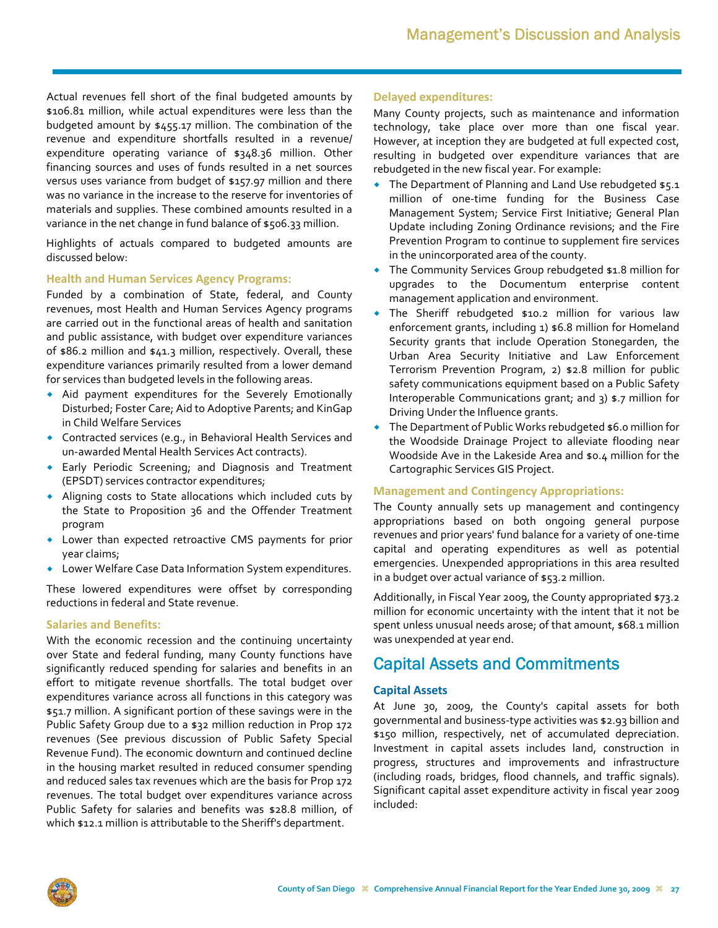Actual revenues fell short of the final budgeted amounts by \$106.81 million, while actual expenditures were less than the budgeted amount by \$455.17 million. The combination of the revenue and expenditure shortfalls resulted in a revenue/ expenditure operating variance of \$348.36 million. Other financing sources and uses of funds resulted in a net sources versus uses variance from budget of \$157.97 million and there was no variance in the increase to the reserve for inventories of materials and supplies. These combined amounts resulted in a variance in the net change in fund balance of \$506.33 million.

Highlights of actuals compared to budgeted amounts are discussed below:

#### **Health and Human Services Agency Programs:**

Funded by a combination of State, federal, and County revenues, most Health and Human Services Agency programs are carried out in the functional areas of health and sanitation and public assistance, with budget over expenditure variances of \$86.2 million and \$41.3 million, respectively. Overall, these expenditure variances primarily resulted from a lower demand for services than budgeted levels in the following areas.

- Aid payment expenditures for the Severely Emotionally Disturbed; Foster Care; Aid to Adoptive Parents; and KinGap in Child Welfare Services
- Contracted services (e.g., in Behavioral Health Services and un‐awarded Mental Health Services Act contracts).
- Early Periodic Screening; and Diagnosis and Treatment (EPSDT) services contractor expenditures;
- Aligning costs to State allocations which included cuts by the State to Proposition 36 and the Offender Treatment program
- Lower than expected retroactive CMS payments for prior year claims;
- Lower Welfare Case Data Information System expenditures.

These lowered expenditures were offset by corresponding reductions in federal and State revenue.

#### **Salaries and Benefits:**

With the economic recession and the continuing uncertainty over State and federal funding, many County functions have significantly reduced spending for salaries and benefits in an effort to mitigate revenue shortfalls. The total budget over expenditures variance across all functions in this category was \$51.7 million. A significant portion of these savings were in the Public Safety Group due to a \$32 million reduction in Prop 172 revenues (See previous discussion of Public Safety Special Revenue Fund). The economic downturn and continued decline in the housing market resulted in reduced consumer spending and reduced sales tax revenues which are the basis for Prop 172 revenues. The total budget over expenditures variance across Public Safety for salaries and benefits was \$28.8 million, of which \$12.1 million is attributable to the Sheriff's department.

#### **Delayed expenditures:**

Many County projects, such as maintenance and information technology, take place over more than one fiscal year. However, at inception they are budgeted at full expected cost, resulting in budgeted over expenditure variances that are rebudgeted in the new fiscal year. For example:

- The Department of Planning and Land Use rebudgeted \$5.1 million of one-time funding for the Business Case Management System; Service First Initiative; General Plan Update including Zoning Ordinance revisions; and the Fire Prevention Program to continue to supplement fire services in the unincorporated area of the county.
- The Community Services Group rebudgeted \$1.8 million for upgrades to the Documentum enterprise content management application and environment.
- The Sheriff rebudgeted \$10.2 million for various law enforcement grants, including 1) \$6.8 million for Homeland Security grants that include Operation Stonegarden, the Urban Area Security Initiative and Law Enforcement Terrorism Prevention Program, 2) \$2.8 million for public safety communications equipment based on a Public Safety Interoperable Communications grant; and 3) \$.7 million for Driving Under the Influence grants.
- The Department of Public Works rebudgeted \$6.0 million for the Woodside Drainage Project to alleviate flooding near Woodside Ave in the Lakeside Area and \$0.4 million for the Cartographic Services GIS Project.

#### **Management and Contingency Appropriations:**

The County annually sets up management and contingency appropriations based on both ongoing general purpose revenues and prior years' fund balance for a variety of one‐time capital and operating expenditures as well as potential emergencies. Unexpended appropriations in this area resulted in a budget over actual variance of \$53.2 million.

Additionally, in Fiscal Year 2009, the County appropriated \$73.2 million for economic uncertainty with the intent that it not be spent unless unusual needs arose; of that amount, \$68.1 million was unexpended at year end.

### Capital Assets and Commitments

#### **Capital Assets**

At June 30, 2009, the County's capital assets for both governmental and business‐type activities was \$2.93 billion and \$150 million, respectively, net of accumulated depreciation. Investment in capital assets includes land, construction in progress, structures and improvements and infrastructure (including roads, bridges, flood channels, and traffic signals). Significant capital asset expenditure activity in fiscal year 2009 included:

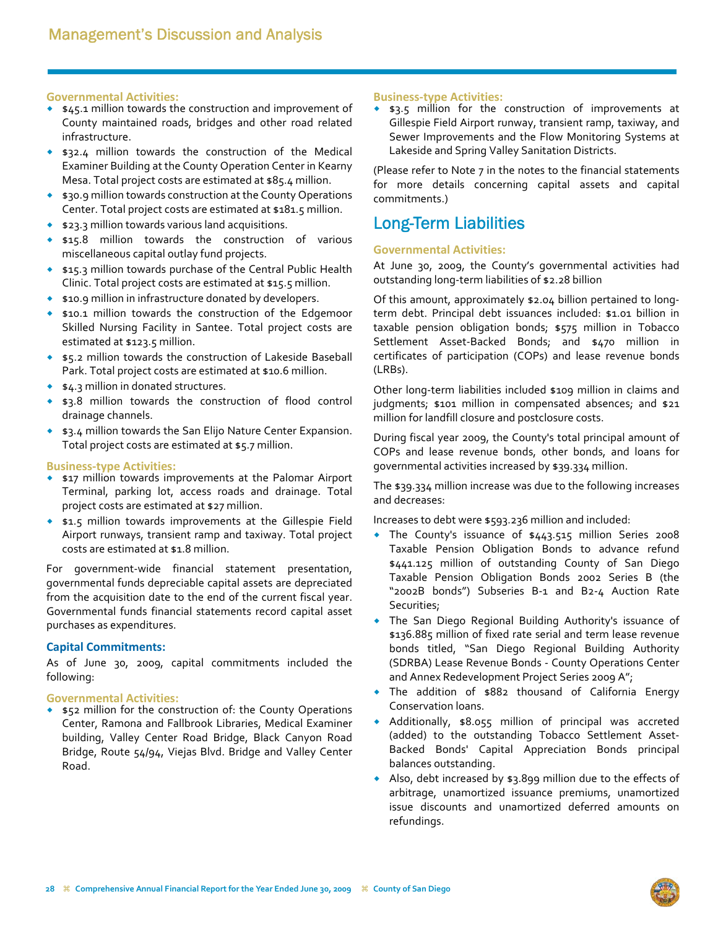#### **Governmental Activities:**

- \$45.1 million towards the construction and improvement of County maintained roads, bridges and other road related infrastructure.
- **\$32.4 million towards the construction of the Medical** Examiner Building at the County Operation Center in Kearny Mesa. Total project costs are estimated at \$85.4 million.
- ◆ \$30.9 million towards construction at the County Operations Center. Total project costs are estimated at \$181.5 million.
- $\bullet$  \$23.3 million towards various land acquisitions.
- \$15.8 million towards the construction of various miscellaneous capital outlay fund projects.
- \$15.3 million towards purchase of the Central Public Health Clinic. Total project costs are estimated at \$15.5 million.
- ◆ \$10.9 million in infrastructure donated by developers.
- \$10.1 million towards the construction of the Edgemoor Skilled Nursing Facility in Santee. Total project costs are estimated at \$123.5 million.
- **\$5.2 million towards the construction of Lakeside Baseball** Park. Total project costs are estimated at \$10.6 million.
- **\$4.3 million in donated structures.**
- \$3.8 million towards the construction of flood control drainage channels.
- **\*** \$3.4 million towards the San Elijo Nature Center Expansion. Total project costs are estimated at \$5.7 million.

#### **Business‐type Activities:**

- **\*** \$17 million towards improvements at the Palomar Airport Terminal, parking lot, access roads and drainage. Total project costs are estimated at \$27 million.
- **\$1.5 million towards improvements at the Gillespie Field** Airport runways, transient ramp and taxiway. Total project costs are estimated at \$1.8 million.

For government‐wide financial statement presentation, governmental funds depreciable capital assets are depreciated from the acquisition date to the end of the current fiscal year. Governmental funds financial statements record capital asset purchases as expenditures.

#### **Capital Commitments:**

As of June 30, 2009, capital commitments included the following:

#### **Governmental Activities:**

**\*** \$52 million for the construction of: the County Operations Center, Ramona and Fallbrook Libraries, Medical Examiner building, Valley Center Road Bridge, Black Canyon Road Bridge, Route 54/94, Viejas Blvd. Bridge and Valley Center Road.

#### **Business‐type Activities:**

\$3.5 million for the construction of improvements at Gillespie Field Airport runway, transient ramp, taxiway, and Sewer Improvements and the Flow Monitoring Systems at Lakeside and Spring Valley Sanitation Districts.

(Please refer to Note 7 in the notes to the financial statements for more details concerning capital assets and capital commitments.)

### Long-Term Liabilities

#### **Governmental Activities:**

At June 30, 2009, the County's governmental activities had outstanding long‐term liabilities of \$2.28 billion

Of this amount, approximately \$2.04 billion pertained to long‐ term debt. Principal debt issuances included: \$1.01 billion in taxable pension obligation bonds; \$575 million in Tobacco Settlement Asset‐Backed Bonds; and \$470 million in certificates of participation (COPs) and lease revenue bonds (LRBs).

Other long‐term liabilities included \$109 million in claims and judgments; \$101 million in compensated absences; and \$21 million for landfill closure and postclosure costs.

During fiscal year 2009, the County's total principal amount of COPs and lease revenue bonds, other bonds, and loans for governmental activities increased by \$39.334 million.

The \$39.334 million increase was due to the following increases and decreases:

Increases to debt were \$593.236 million and included:

- The County's issuance of \$443.515 million Series 2008 Taxable Pension Obligation Bonds to advance refund \$441.125 million of outstanding County of San Diego Taxable Pension Obligation Bonds 2002 Series B (the "2002B bonds") Subseries B‐1 and B2‐4 Auction Rate Securities;
- The San Diego Regional Building Authority's issuance of \$136.885 million of fixed rate serial and term lease revenue bonds titled, "San Diego Regional Building Authority (SDRBA) Lease Revenue Bonds ‐ County Operations Center and Annex Redevelopment Project Series 2009 A";
- The addition of \$882 thousand of California Energy Conservation loans.
- Additionally, \$8.055 million of principal was accreted (added) to the outstanding Tobacco Settlement Asset‐ Backed Bonds' Capital Appreciation Bonds principal balances outstanding.
- Also, debt increased by \$3.899 million due to the effects of arbitrage, unamortized issuance premiums, unamortized issue discounts and unamortized deferred amounts on refundings.

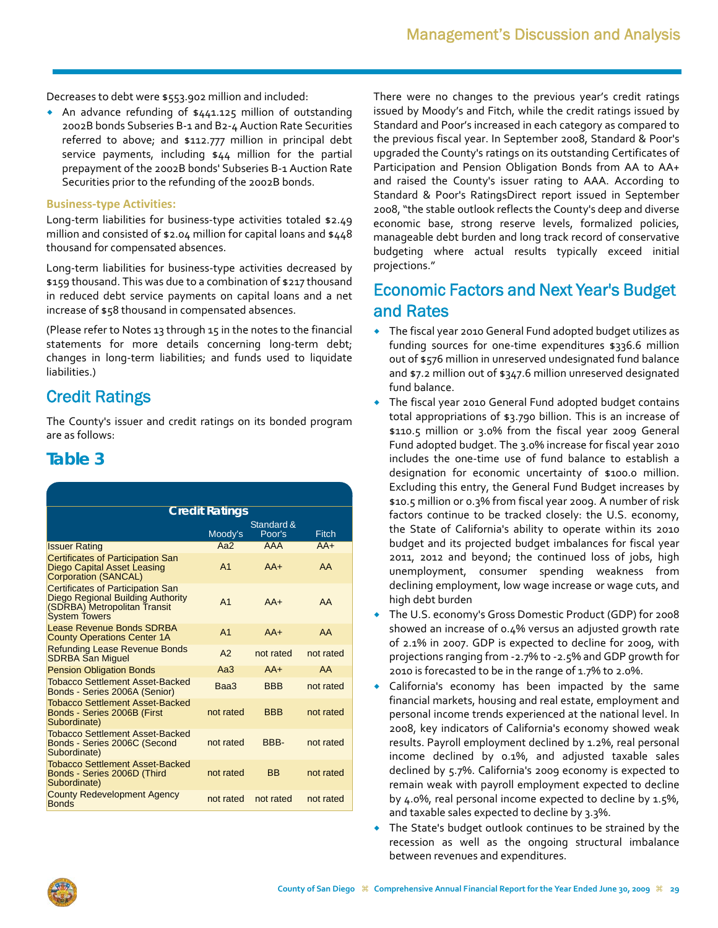Decreases to debt were \$553.902 million and included:

 An advance refunding of \$441.125 million of outstanding 2002B bonds Subseries B‐1 and B2‐4 Auction Rate Securities referred to above; and \$112.777 million in principal debt service payments, including \$44 million for the partial prepayment of the 2002B bonds' Subseries B‐1 Auction Rate Securities prior to the refunding of the 2002B bonds.

#### **Business‐type Activities:**

Long-term liabilities for business-type activities totaled \$2.49 million and consisted of \$2.04 million for capital loans and \$448 thousand for compensated absences.

Long-term liabilities for business-type activities decreased by \$159 thousand. This was due to a combination of \$217 thousand in reduced debt service payments on capital loans and a net increase of \$58 thousand in compensated absences.

(Please refer to Notes 13 through 15 in the notes to the financial statements for more details concerning long-term debt; changes in long‐term liabilities; and funds used to liquidate liabilities.)

### Credit Ratings

The County's issuer and credit ratings on its bonded program are as follows:

### **Table 3**

| <b>Credit Ratings</b>                                                                                                                 |                |                      |              |  |  |  |  |
|---------------------------------------------------------------------------------------------------------------------------------------|----------------|----------------------|--------------|--|--|--|--|
|                                                                                                                                       | Moody's        | Standard &<br>Poor's | <b>Eitch</b> |  |  |  |  |
| <b>Issuer Rating</b>                                                                                                                  | Aa $2$         | <b>AAA</b>           | $AA+$        |  |  |  |  |
| <b>Certificates of Participation San</b><br><b>Diego Capital Asset Leasing</b><br><b>Corporation (SANCAL)</b>                         | A <sub>1</sub> | $AA+$                | AA           |  |  |  |  |
| <b>Certificates of Participation San</b><br>Diego Regional Building Authority<br>(SDRBA) Metropolitan Transit<br><b>System Towers</b> | A <sub>1</sub> | $AA+$                | AA           |  |  |  |  |
| Lease Revenue Bonds SDRBA<br><b>County Operations Center 1A</b>                                                                       | A <sub>1</sub> | $AA+$                | AA           |  |  |  |  |
| <b>Refunding Lease Revenue Bonds</b><br><b>SDRBA San Miquel</b>                                                                       | A <sub>2</sub> | not rated            | not rated    |  |  |  |  |
| <b>Pension Obligation Bonds</b>                                                                                                       | Aa3            | $AA+$                | AA           |  |  |  |  |
| <b>Tobacco Settlement Asset-Backed</b><br>Bonds - Series 2006A (Senior)                                                               | Baa3           | <b>BBB</b>           | not rated    |  |  |  |  |
| Tobacco Settlement Asset-Backed<br>Bonds - Series 2006B (First<br>Subordinate)                                                        | not rated      | <b>BBB</b>           | not rated    |  |  |  |  |
| Tobacco Settlement Asset-Backed<br>Bonds - Series 2006C (Second<br>Subordinate)                                                       | not rated      | BBB-                 | not rated    |  |  |  |  |
| Tobacco Settlement Asset-Backed<br>Bonds - Series 2006D (Third<br>Subordinate)                                                        | not rated      | <b>BB</b>            | not rated    |  |  |  |  |
| <b>County Redevelopment Agency</b><br><b>Bonds</b>                                                                                    | not rated      | not rated            | not rated    |  |  |  |  |

There were no changes to the previous year's credit ratings issued by Moody's and Fitch, while the credit ratings issued by Standard and Poor's increased in each category as compared to the previous fiscal year. In September 2008, Standard & Poor's upgraded the County's ratings on its outstanding Certificates of Participation and Pension Obligation Bonds from AA to AA+ and raised the County's issuer rating to AAA. According to Standard & Poor's RatingsDirect report issued in September 2008,"the stable outlook reflects the County's deep and diverse economic base, strong reserve levels, formalized policies, manageable debt burden and long track record of conservative budgeting where actual results typically exceed initial projections."

# Economic Factors and Next Year's Budget and Rates

- The fiscal year 2010 General Fund adopted budget utilizes as funding sources for one‐time expenditures \$336.6 million out of \$576 million in unreserved undesignated fund balance and \$7.2 million out of \$347.6 million unreserved designated fund balance.
- The fiscal year 2010 General Fund adopted budget contains total appropriations of \$3.790 billion. This is an increase of \$110.5 million or 3.0% from the fiscal year 2009 General Fund adopted budget. The 3.0% increase for fiscal year 2010 includes the one‐time use of fund balance to establish a designation for economic uncertainty of \$100.0 million. Excluding this entry, the General Fund Budget increases by \$10.5 million or 0.3% from fiscal year 2009. A number of risk factors continue to be tracked closely: the U.S. economy, the State of California's ability to operate within its 2010 budget and its projected budget imbalances for fiscal year 2011, 2012 and beyond; the continued loss of jobs, high unemployment, consumer spending weakness from declining employment, low wage increase or wage cuts, and high debt burden
- The U.S. economy's Gross Domestic Product (GDP) for 2008 showed an increase of 0.4% versus an adjusted growth rate of 2.1% in 2007. GDP is expected to decline for 2009, with projections ranging from ‐2.7% to ‐2.5% and GDP growth for 2010 is forecasted to be in the range of 1.7% to 2.0%.
- California's economy has been impacted by the same financial markets, housing and real estate, employment and personal income trends experienced at the national level. In 2008, key indicators of California's economy showed weak results. Payroll employment declined by 1.2%, real personal income declined by 0.1%, and adjusted taxable sales declined by 5.7%. California's 2009 economy is expected to remain weak with payroll employment expected to decline by 4.0%, real personal income expected to decline by 1.5%, and taxable sales expected to decline by 3.3%.
- The State's budget outlook continues to be strained by the recession as well as the ongoing structural imbalance between revenues and expenditures.

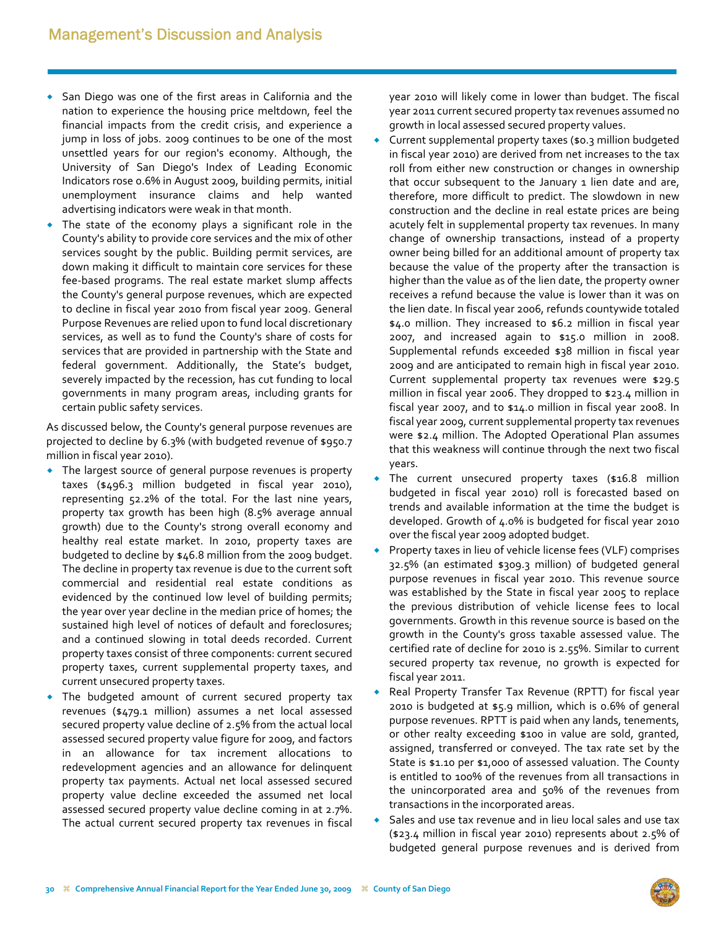- San Diego was one of the first areas in California and the nation to experience the housing price meltdown, feel the financial impacts from the credit crisis, and experience a jump in loss of jobs. 2009 continues to be one of the most unsettled years for our region's economy. Although, the University of San Diego's Index of Leading Economic Indicators rose 0.6% in August 2009, building permits, initial unemployment insurance claims and help wanted advertising indicators were weak in that month.
- The state of the economy plays a significant role in the County's ability to provide core services and the mix of other services sought by the public. Building permit services, are down making it difficult to maintain core services for these fee‐based programs. The real estate market slump affects the County's general purpose revenues, which are expected to decline in fiscal year 2010 from fiscal year 2009. General Purpose Revenues are relied upon to fund local discretionary services, as well as to fund the County's share of costs for services that are provided in partnership with the State and federal government. Additionally, the State's budget, severely impacted by the recession, has cut funding to local governments in many program areas, including grants for certain public safety services.

As discussed below, the County's general purpose revenues are projected to decline by 6.3% (with budgeted revenue of \$950.7 million in fiscal year 2010).

- The largest source of general purpose revenues is property taxes (\$496.3 million budgeted in fiscal year 2010), representing 52.2% of the total. For the last nine years, property tax growth has been high (8.5% average annual growth) due to the County's strong overall economy and healthy real estate market. In 2010, property taxes are budgeted to decline by \$46.8 million from the 2009 budget. The decline in property tax revenue is due to the current soft commercial and residential real estate conditions as evidenced by the continued low level of building permits; the year over year decline in the median price of homes; the sustained high level of notices of default and foreclosures; and a continued slowing in total deeds recorded. Current property taxes consist of three components: current secured property taxes, current supplemental property taxes, and current unsecured property taxes.
- The budgeted amount of current secured property tax revenues (\$479.1 million) assumes a net local assessed secured property value decline of 2.5% from the actual local assessed secured property value figure for 2009, and factors in an allowance for tax increment allocations to redevelopment agencies and an allowance for delinquent property tax payments. Actual net local assessed secured property value decline exceeded the assumed net local assessed secured property value decline coming in at 2.7%. The actual current secured property tax revenues in fiscal

year 2010 will likely come in lower than budget. The fiscal year 2011 current secured property tax revenues assumed no growth in local assessed secured property values.

- Current supplemental property taxes (\$0.3 million budgeted in fiscal year 2010) are derived from net increases to the tax roll from either new construction or changes in ownership that occur subsequent to the January 1 lien date and are, therefore, more difficult to predict. The slowdown in new construction and the decline in real estate prices are being acutely felt in supplemental property tax revenues. In many change of ownership transactions, instead of a property owner being billed for an additional amount of property tax because the value of the property after the transaction is higher than the value as of the lien date, the property owner receives a refund because the value is lower than it was on the lien date. In fiscal year 2006, refunds countywide totaled \$4.0 million. They increased to \$6.2 million in fiscal year 2007, and increased again to \$15.0 million in 2008. Supplemental refunds exceeded \$38 million in fiscal year 2009 and are anticipated to remain high in fiscal year 2010. Current supplemental property tax revenues were \$29.5 million in fiscal year 2006. They dropped to \$23.4 million in fiscal year 2007, and to \$14.0 million in fiscal year 2008. In fiscal year 2009, current supplemental property tax revenues were \$2.4 million. The Adopted Operational Plan assumes that this weakness will continue through the next two fiscal years.
- The current unsecured property taxes (\$16.8 million budgeted in fiscal year 2010) roll is forecasted based on trends and available information at the time the budget is developed. Growth of 4.0% is budgeted for fiscal year 2010 over the fiscal year 2009 adopted budget.
- Property taxes in lieu of vehicle license fees (VLF) comprises 32.5% (an estimated \$309.3 million) of budgeted general purpose revenues in fiscal year 2010. This revenue source was established by the State in fiscal year 2005 to replace the previous distribution of vehicle license fees to local governments. Growth in this revenue source is based on the growth in the County's gross taxable assessed value. The certified rate of decline for 2010 is 2.55%. Similar to current secured property tax revenue, no growth is expected for fiscal year 2011.
- Real Property Transfer Tax Revenue (RPTT) for fiscal year 2010 is budgeted at \$5.9 million, which is 0.6% of general purpose revenues. RPTT is paid when any lands, tenements, or other realty exceeding \$100 in value are sold, granted, assigned, transferred or conveyed. The tax rate set by the State is \$1.10 per \$1,000 of assessed valuation. The County is entitled to 100% of the revenues from all transactions in the unincorporated area and 50% of the revenues from transactions in the incorporated areas.
- Sales and use tax revenue and in lieu local sales and use tax (\$23.4 million in fiscal year 2010) represents about 2.5% of budgeted general purpose revenues and is derived from